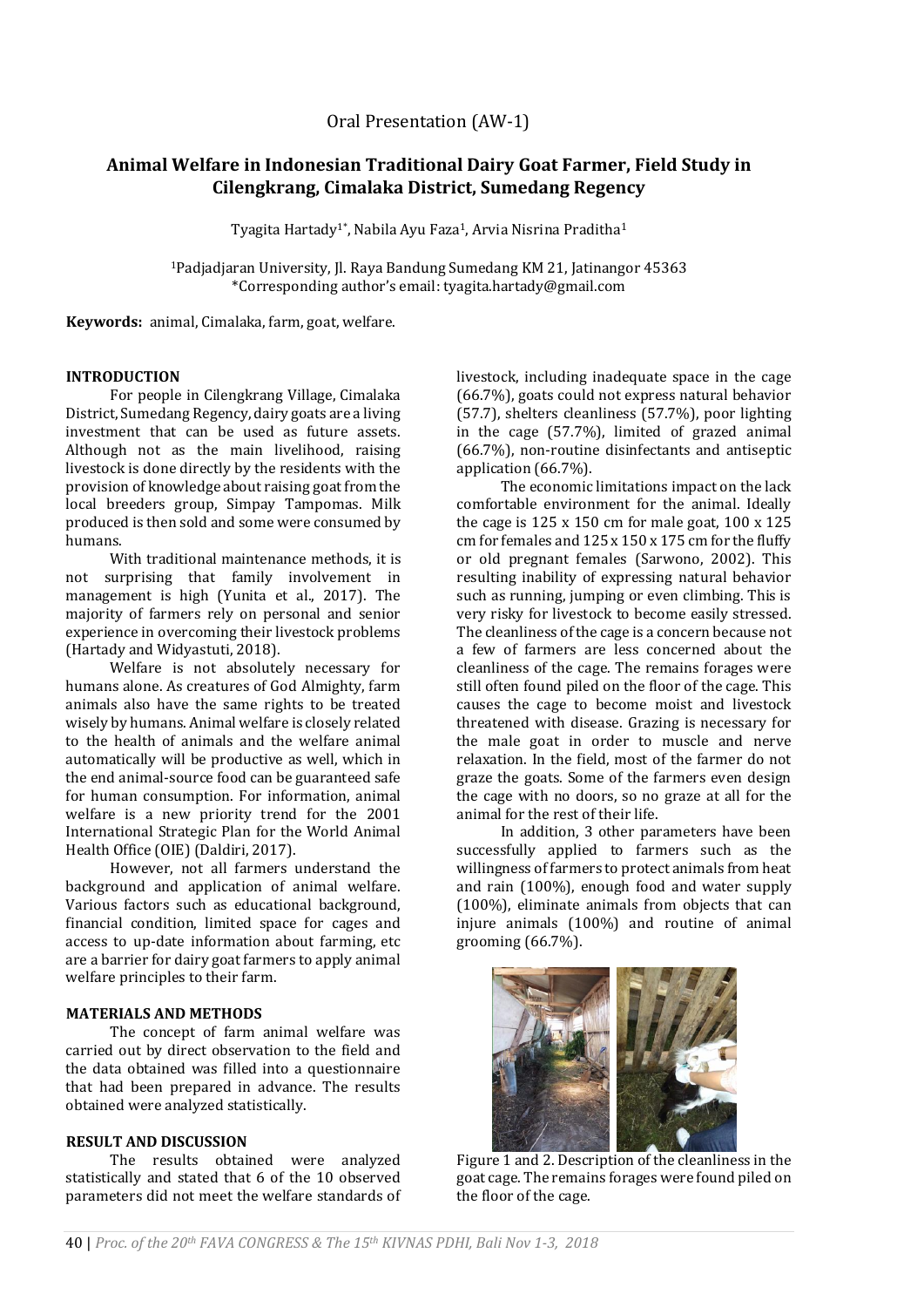# **Animal Welfare in Indonesian Traditional Dairy Goat Farmer, Field Study in Cilengkrang, Cimalaka District, Sumedang Regency**

Tyagita Hartady<sup>1\*</sup>, Nabila Ayu Faza<sup>1</sup>, Arvia Nisrina Praditha<sup>1</sup>

<sup>1</sup>Padjadjaran University, Jl. Raya Bandung Sumedang KM 21, Jatinangor 45363 \*Corresponding author's email: tyagita.hartady@gmail.com

**Keywords:** animal, Cimalaka, farm, goat, welfare.

## **INTRODUCTION**

For people in Cilengkrang Village, Cimalaka District, Sumedang Regency, dairy goats are a living investment that can be used as future assets. Although not as the main livelihood, raising livestock is done directly by the residents with the provision of knowledge about raising goat from the local breeders group, Simpay Tampomas. Milk produced is then sold and some were consumed by humans.

With traditional maintenance methods, it is not surprising that family involvement in management is high (Yunita et al., 2017). The majority of farmers rely on personal and senior experience in overcoming their livestock problems (Hartady and Widyastuti, 2018).

Welfare is not absolutely necessary for humans alone. As creatures of God Almighty, farm animals also have the same rights to be treated wisely by humans. Animal welfare is closely related to the health of animals and the welfare animal automatically will be productive as well, which in the end animal-source food can be guaranteed safe for human consumption. For information, animal welfare is a new priority trend for the 2001 International Strategic Plan for the World Animal Health Office (OIE) (Daldiri, 2017).

However, not all farmers understand the background and application of animal welfare. Various factors such as educational background, financial condition, limited space for cages and access to up-date information about farming, etc are a barrier for dairy goat farmers to apply animal welfare principles to their farm.

## **MATERIALS AND METHODS**

The concept of farm animal welfare was carried out by direct observation to the field and the data obtained was filled into a questionnaire that had been prepared in advance. The results obtained were analyzed statistically.

## **RESULT AND DISCUSSION**

The results obtained were analyzed statistically and stated that 6 of the 10 observed parameters did not meet the welfare standards of livestock, including inadequate space in the cage (66.7%), goats could not express natural behavior (57.7), shelters cleanliness (57.7%), poor lighting in the cage (57.7%), limited of grazed animal (66.7%), non-routine disinfectants and antiseptic application (66.7%).

The economic limitations impact on the lack comfortable environment for the animal. Ideally the cage is  $125 \times 150$  cm for male goat,  $100 \times 125$ cm for females and 125 x 150 x 175 cm for the fluffy or old pregnant females (Sarwono, 2002). This resulting inability of expressing natural behavior such as running, jumping or even climbing. This is very risky for livestock to become easily stressed. The cleanliness of the cage is a concern because not a few of farmers are less concerned about the cleanliness of the cage. The remains forages were still often found piled on the floor of the cage. This causes the cage to become moist and livestock threatened with disease. Grazing is necessary for the male goat in order to muscle and nerve relaxation. In the field, most of the farmer do not graze the goats. Some of the farmers even design the cage with no doors, so no graze at all for the animal for the rest of their life.

In addition, 3 other parameters have been successfully applied to farmers such as the willingness of farmers to protect animals from heat and rain (100%), enough food and water supply (100%), eliminate animals from objects that can injure animals (100%) and routine of animal grooming (66.7%).



Figure 1 and 2. Description of the cleanliness in the goat cage. The remains forages were found piled on the floor of the cage.